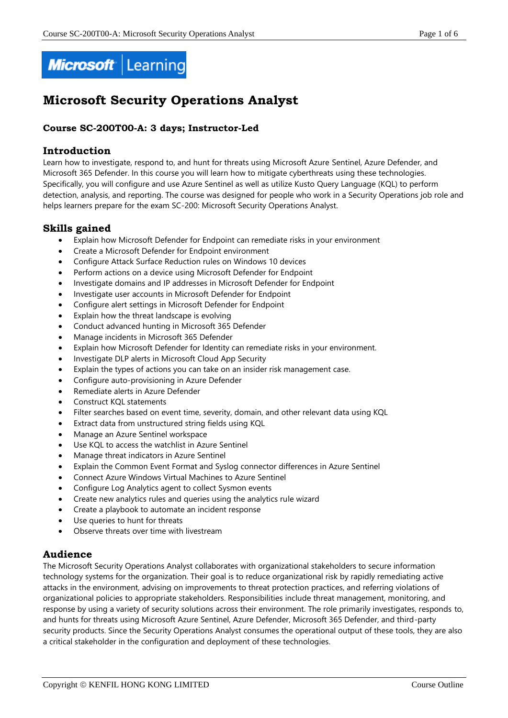

# **Microsoft Security Operations Analyst**

# **Course SC-200T00-A: 3 days; Instructor-Led**

# **Introduction**

Learn how to investigate, respond to, and hunt for threats using Microsoft Azure Sentinel, Azure Defender, and Microsoft 365 Defender. In this course you will learn how to mitigate cyberthreats using these technologies. Specifically, you will configure and use Azure Sentinel as well as utilize Kusto Query Language (KQL) to perform detection, analysis, and reporting. The course was designed for people who work in a Security Operations job role and helps learners prepare for the exam SC-200: Microsoft Security Operations Analyst.

# **Skills gained**

- Explain how Microsoft Defender for Endpoint can remediate risks in your environment
- Create a Microsoft Defender for Endpoint environment
- Configure Attack Surface Reduction rules on Windows 10 devices
- Perform actions on a device using Microsoft Defender for Endpoint
- Investigate domains and IP addresses in Microsoft Defender for Endpoint
- Investigate user accounts in Microsoft Defender for Endpoint
- Configure alert settings in Microsoft Defender for Endpoint
- Explain how the threat landscape is evolving
- Conduct advanced hunting in Microsoft 365 Defender
- Manage incidents in Microsoft 365 Defender
- Explain how Microsoft Defender for Identity can remediate risks in your environment.
- Investigate DLP alerts in Microsoft Cloud App Security
- Explain the types of actions you can take on an insider risk management case.
- Configure auto-provisioning in Azure Defender
- Remediate alerts in Azure Defender
- Construct KQL statements
- Filter searches based on event time, severity, domain, and other relevant data using KQL
- Extract data from unstructured string fields using KQL
- Manage an Azure Sentinel workspace
- Use KQL to access the watchlist in Azure Sentinel
- Manage threat indicators in Azure Sentinel
- Explain the Common Event Format and Syslog connector differences in Azure Sentinel
- Connect Azure Windows Virtual Machines to Azure Sentinel
- Configure Log Analytics agent to collect Sysmon events
- Create new analytics rules and queries using the analytics rule wizard
- Create a playbook to automate an incident response
- Use queries to hunt for threats
- Observe threats over time with livestream

# **Audience**

The Microsoft Security Operations Analyst collaborates with organizational stakeholders to secure information technology systems for the organization. Their goal is to reduce organizational risk by rapidly remediating active attacks in the environment, advising on improvements to threat protection practices, and referring violations of organizational policies to appropriate stakeholders. Responsibilities include threat management, monitoring, and response by using a variety of security solutions across their environment. The role primarily investigates, responds to, and hunts for threats using Microsoft Azure Sentinel, Azure Defender, Microsoft 365 Defender, and third-party security products. Since the Security Operations Analyst consumes the operational output of these tools, they are also a critical stakeholder in the configuration and deployment of these technologies.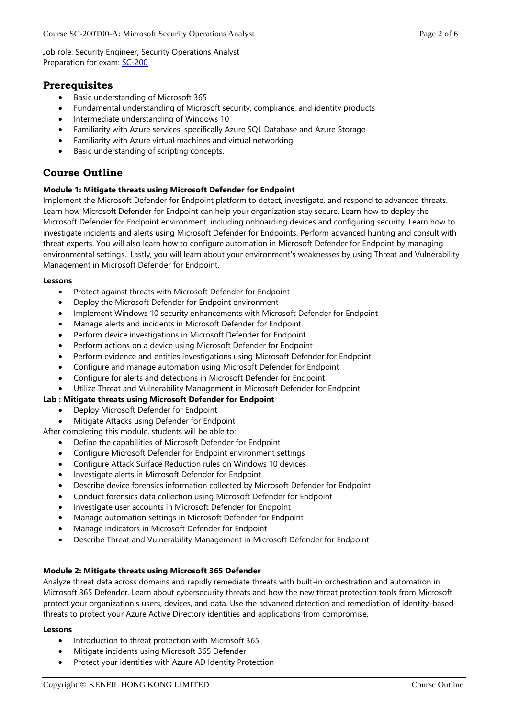Job role: Security Engineer, Security Operations Analyst Preparation for exam: [SC-200](https://docs.microsoft.com/en-us/learn/certifications/exams/sc-200)

# **Prerequisites**

- Basic understanding of Microsoft 365
- Fundamental understanding of Microsoft security, compliance, and identity products
- Intermediate understanding of Windows 10
- Familiarity with Azure services, specifically Azure SQL Database and Azure Storage
- Familiarity with Azure virtual machines and virtual networking
- Basic understanding of scripting concepts.

# **Course Outline**

# **Module 1: Mitigate threats using Microsoft Defender for Endpoint**

Implement the Microsoft Defender for Endpoint platform to detect, investigate, and respond to advanced threats. Learn how Microsoft Defender for Endpoint can help your organization stay secure. Learn how to deploy the Microsoft Defender for Endpoint environment, including onboarding devices and configuring security. Learn how to investigate incidents and alerts using Microsoft Defender for Endpoints. Perform advanced hunting and consult with threat experts. You will also learn how to configure automation in Microsoft Defender for Endpoint by managing environmental settings.. Lastly, you will learn about your environment's weaknesses by using Threat and Vulnerability Management in Microsoft Defender for Endpoint.

#### **Lessons**

- Protect against threats with Microsoft Defender for Endpoint
- Deploy the Microsoft Defender for Endpoint environment
- Implement Windows 10 security enhancements with Microsoft Defender for Endpoint
- Manage alerts and incidents in Microsoft Defender for Endpoint
- Perform device investigations in Microsoft Defender for Endpoint
- Perform actions on a device using Microsoft Defender for Endpoint
- Perform evidence and entities investigations using Microsoft Defender for Endpoint
- Configure and manage automation using Microsoft Defender for Endpoint
- Configure for alerts and detections in Microsoft Defender for Endpoint
- Utilize Threat and Vulnerability Management in Microsoft Defender for Endpoint

# **Lab : Mitigate threats using Microsoft Defender for Endpoint**

- Deploy Microsoft Defender for Endpoint
- Mitigate Attacks using Defender for Endpoint

After completing this module, students will be able to:

- Define the capabilities of Microsoft Defender for Endpoint
- Configure Microsoft Defender for Endpoint environment settings
- Configure Attack Surface Reduction rules on Windows 10 devices
- Investigate alerts in Microsoft Defender for Endpoint
- Describe device forensics information collected by Microsoft Defender for Endpoint
- Conduct forensics data collection using Microsoft Defender for Endpoint
- Investigate user accounts in Microsoft Defender for Endpoint
- Manage automation settings in Microsoft Defender for Endpoint
- Manage indicators in Microsoft Defender for Endpoint
- Describe Threat and Vulnerability Management in Microsoft Defender for Endpoint

# **Module 2: Mitigate threats using Microsoft 365 Defender**

Analyze threat data across domains and rapidly remediate threats with built-in orchestration and automation in Microsoft 365 Defender. Learn about cybersecurity threats and how the new threat protection tools from Microsoft protect your organization's users, devices, and data. Use the advanced detection and remediation of identity-based threats to protect your Azure Active Directory identities and applications from compromise.

- Introduction to threat protection with Microsoft 365
- Mitigate incidents using Microsoft 365 Defender
- Protect your identities with Azure AD Identity Protection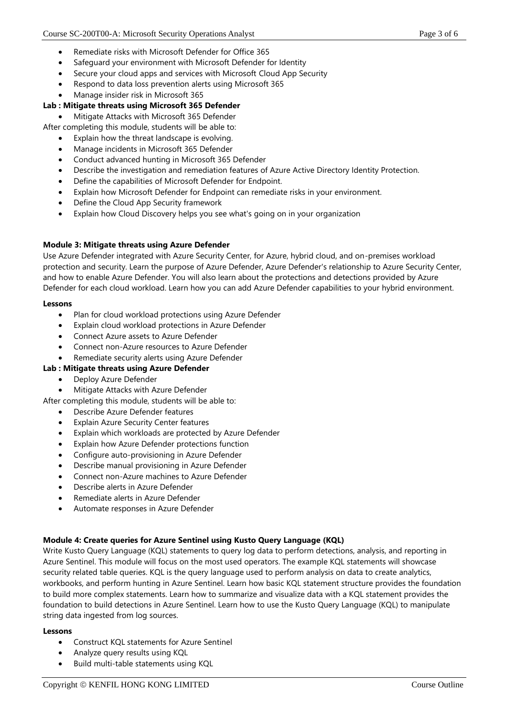- Remediate risks with Microsoft Defender for Office 365
- Safeguard your environment with Microsoft Defender for Identity
- Secure your cloud apps and services with Microsoft Cloud App Security
- Respond to data loss prevention alerts using Microsoft 365
- Manage insider risk in Microsoft 365

# **Lab : Mitigate threats using Microsoft 365 Defender**

• Mitigate Attacks with Microsoft 365 Defender

After completing this module, students will be able to:

- Explain how the threat landscape is evolving.
- Manage incidents in Microsoft 365 Defender
- Conduct advanced hunting in Microsoft 365 Defender
- Describe the investigation and remediation features of Azure Active Directory Identity Protection.
- Define the capabilities of Microsoft Defender for Endpoint.
- Explain how Microsoft Defender for Endpoint can remediate risks in your environment.
- Define the Cloud App Security framework
- Explain how Cloud Discovery helps you see what's going on in your organization

#### **Module 3: Mitigate threats using Azure Defender**

Use Azure Defender integrated with Azure Security Center, for Azure, hybrid cloud, and on-premises workload protection and security. Learn the purpose of Azure Defender, Azure Defender's relationship to Azure Security Center, and how to enable Azure Defender. You will also learn about the protections and detections provided by Azure Defender for each cloud workload. Learn how you can add Azure Defender capabilities to your hybrid environment.

#### **Lessons**

- Plan for cloud workload protections using Azure Defender
- Explain cloud workload protections in Azure Defender
- Connect Azure assets to Azure Defender
- Connect non-Azure resources to Azure Defender
- Remediate security alerts using Azure Defender

# **Lab : Mitigate threats using Azure Defender**

- Deploy Azure Defender
- Mitigate Attacks with Azure Defender
- After completing this module, students will be able to:
	- Describe Azure Defender features
	- **Explain Azure Security Center features**
	- Explain which workloads are protected by Azure Defender
	- Explain how Azure Defender protections function
	- Configure auto-provisioning in Azure Defender
	- Describe manual provisioning in Azure Defender
	- Connect non-Azure machines to Azure Defender
	- Describe alerts in Azure Defender
	- Remediate alerts in Azure Defender
	- Automate responses in Azure Defender

# **Module 4: Create queries for Azure Sentinel using Kusto Query Language (KQL)**

Write Kusto Query Language (KQL) statements to query log data to perform detections, analysis, and reporting in Azure Sentinel. This module will focus on the most used operators. The example KQL statements will showcase security related table queries. KQL is the query language used to perform analysis on data to create analytics, workbooks, and perform hunting in Azure Sentinel. Learn how basic KQL statement structure provides the foundation to build more complex statements. Learn how to summarize and visualize data with a KQL statement provides the foundation to build detections in Azure Sentinel. Learn how to use the Kusto Query Language (KQL) to manipulate string data ingested from log sources.

- Construct KQL statements for Azure Sentinel
- Analyze query results using KQL
- Build multi-table statements using KQL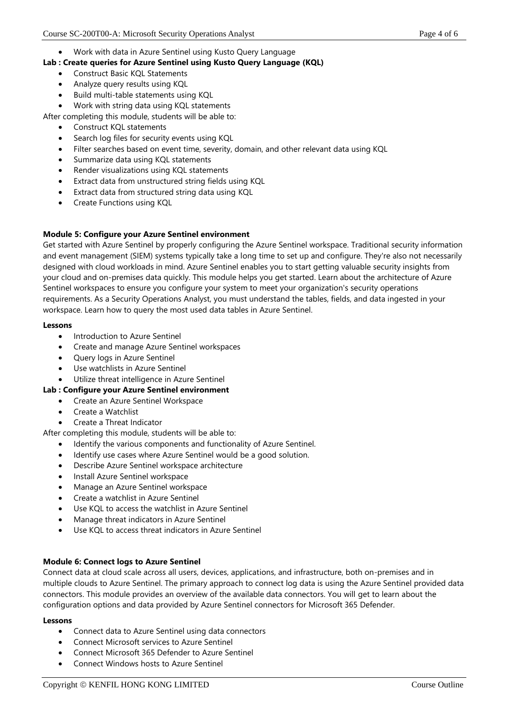• Work with data in Azure Sentinel using Kusto Query Language

# **Lab : Create queries for Azure Sentinel using Kusto Query Language (KQL)**

- Construct Basic KQL Statements
- Analyze query results using KQL
- Build multi-table statements using KQL
- Work with string data using KQL statements
- After completing this module, students will be able to:
	- Construct KQL statements
	- Search log files for security events using KQL
	- Filter searches based on event time, severity, domain, and other relevant data using KQL
	- Summarize data using KQL statements
	- Render visualizations using KQL statements
	- Extract data from unstructured string fields using KQL
	- Extract data from structured string data using KQL
	- Create Functions using KQL

# **Module 5: Configure your Azure Sentinel environment**

Get started with Azure Sentinel by properly configuring the Azure Sentinel workspace. Traditional security information and event management (SIEM) systems typically take a long time to set up and configure. They're also not necessarily designed with cloud workloads in mind. Azure Sentinel enables you to start getting valuable security insights from your cloud and on-premises data quickly. This module helps you get started. Learn about the architecture of Azure Sentinel workspaces to ensure you configure your system to meet your organization's security operations requirements. As a Security Operations Analyst, you must understand the tables, fields, and data ingested in your workspace. Learn how to query the most used data tables in Azure Sentinel.

#### **Lessons**

- Introduction to Azure Sentinel
- Create and manage Azure Sentinel workspaces
- Query logs in Azure Sentinel
- Use watchlists in Azure Sentinel
- Utilize threat intelligence in Azure Sentinel

# **Lab : Configure your Azure Sentinel environment**

- Create an Azure Sentinel Workspace
	- Create a Watchlist
	- Create a Threat Indicator

After completing this module, students will be able to:

- Identify the various components and functionality of Azure Sentinel.
- Identify use cases where Azure Sentinel would be a good solution.
- Describe Azure Sentinel workspace architecture
- Install Azure Sentinel workspace
- Manage an Azure Sentinel workspace
- Create a watchlist in Azure Sentinel
- Use KQL to access the watchlist in Azure Sentinel
- Manage threat indicators in Azure Sentinel
- Use KQL to access threat indicators in Azure Sentinel

# **Module 6: Connect logs to Azure Sentinel**

Connect data at cloud scale across all users, devices, applications, and infrastructure, both on-premises and in multiple clouds to Azure Sentinel. The primary approach to connect log data is using the Azure Sentinel provided data connectors. This module provides an overview of the available data connectors. You will get to learn about the configuration options and data provided by Azure Sentinel connectors for Microsoft 365 Defender.

- Connect data to Azure Sentinel using data connectors
- Connect Microsoft services to Azure Sentinel
- Connect Microsoft 365 Defender to Azure Sentinel
- Connect Windows hosts to Azure Sentinel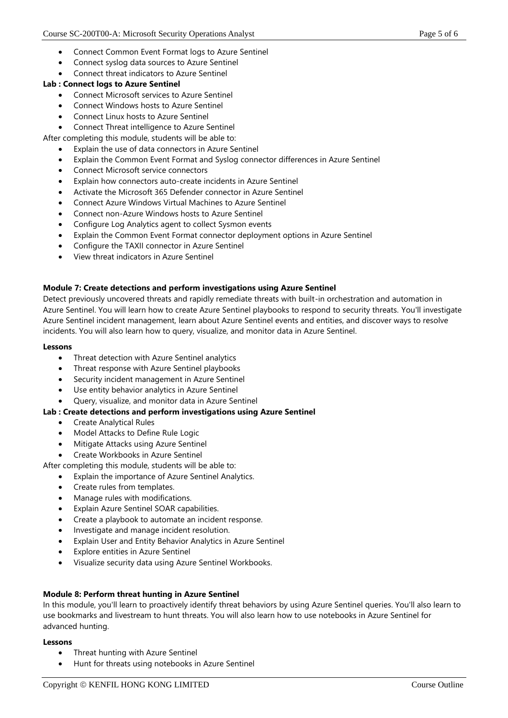- Connect Common Event Format logs to Azure Sentinel
- Connect syslog data sources to Azure Sentinel
- Connect threat indicators to Azure Sentinel

### **Lab : Connect logs to Azure Sentinel**

- Connect Microsoft services to Azure Sentinel
- Connect Windows hosts to Azure Sentinel
- Connect Linux hosts to Azure Sentinel
- Connect Threat intelligence to Azure Sentinel

After completing this module, students will be able to:

- Explain the use of data connectors in Azure Sentinel
- Explain the Common Event Format and Syslog connector differences in Azure Sentinel
- Connect Microsoft service connectors
- Explain how connectors auto-create incidents in Azure Sentinel
- Activate the Microsoft 365 Defender connector in Azure Sentinel
- Connect Azure Windows Virtual Machines to Azure Sentinel
- Connect non-Azure Windows hosts to Azure Sentinel
- Configure Log Analytics agent to collect Sysmon events
- Explain the Common Event Format connector deployment options in Azure Sentinel
- Configure the TAXII connector in Azure Sentinel
- View threat indicators in Azure Sentinel

#### **Module 7: Create detections and perform investigations using Azure Sentinel**

Detect previously uncovered threats and rapidly remediate threats with built-in orchestration and automation in Azure Sentinel. You will learn how to create Azure Sentinel playbooks to respond to security threats. You'll investigate Azure Sentinel incident management, learn about Azure Sentinel events and entities, and discover ways to resolve incidents. You will also learn how to query, visualize, and monitor data in Azure Sentinel.

#### **Lessons**

- Threat detection with Azure Sentinel analytics
- Threat response with Azure Sentinel playbooks
- Security incident management in Azure Sentinel
- Use entity behavior analytics in Azure Sentinel
- Query, visualize, and monitor data in Azure Sentinel

#### **Lab : Create detections and perform investigations using Azure Sentinel**

- Create Analytical Rules
- Model Attacks to Define Rule Logic
- Mitigate Attacks using Azure Sentinel
- Create Workbooks in Azure Sentinel

After completing this module, students will be able to:

- Explain the importance of Azure Sentinel Analytics.
- Create rules from templates.
- Manage rules with modifications.
- Explain Azure Sentinel SOAR capabilities.
- Create a playbook to automate an incident response.
- Investigate and manage incident resolution.
- Explain User and Entity Behavior Analytics in Azure Sentinel
- **Explore entities in Azure Sentinel**
- Visualize security data using Azure Sentinel Workbooks.

# **Module 8: Perform threat hunting in Azure Sentinel**

In this module, you'll learn to proactively identify threat behaviors by using Azure Sentinel queries. You'll also learn to use bookmarks and livestream to hunt threats. You will also learn how to use notebooks in Azure Sentinel for advanced hunting.

- Threat hunting with Azure Sentinel
- Hunt for threats using notebooks in Azure Sentinel